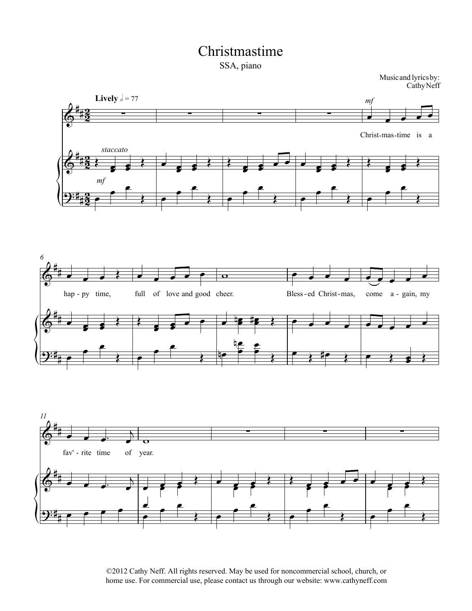## **Christmastime** istmastime<br>SSA, piano

Musicand lyricsby: CathyNeff



©2012 Cathy Neff. All rights reserved. May be used for noncommercial school, church, or home use. For commercial use, please contact us through our website: www.cathyneff.com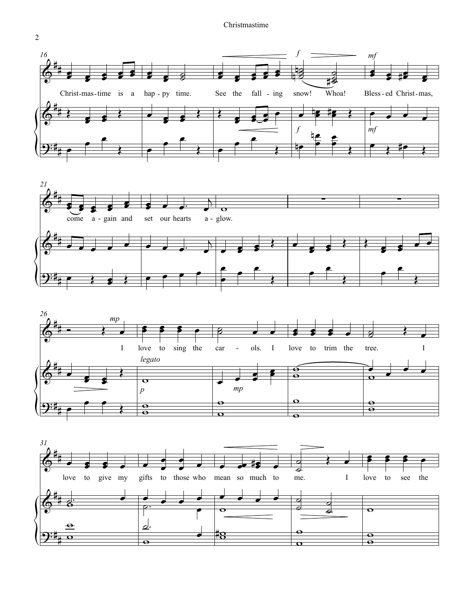## Christmastime









 $\overline{2}$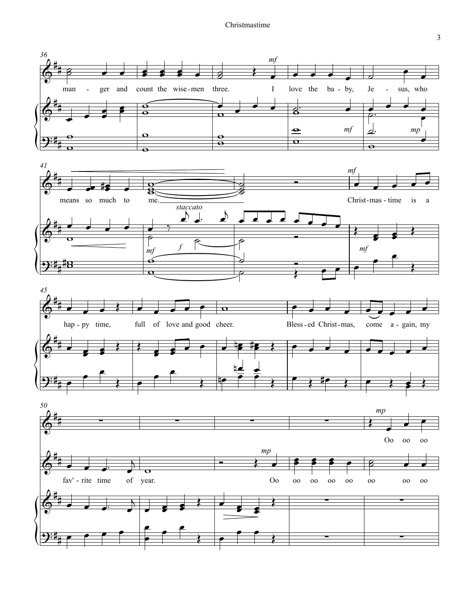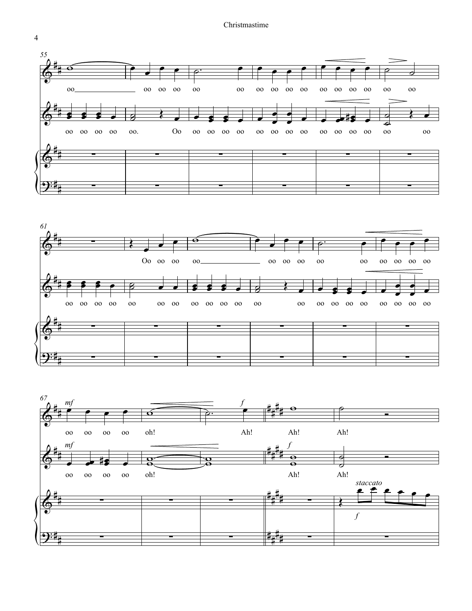





 $\overline{4}$